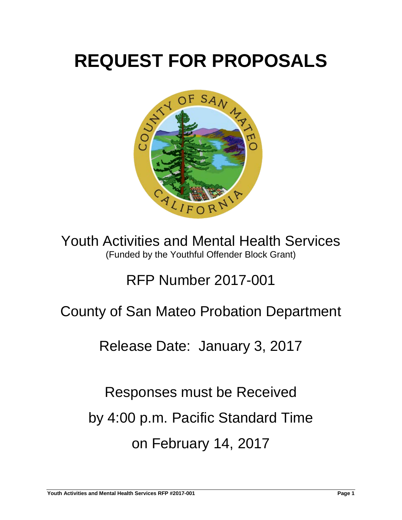# **REQUEST FOR PROPOSALS**



Youth Activities and Mental Health Services (Funded by the Youthful Offender Block Grant)

## RFP Number 2017-001

## County of San Mateo Probation Department

## Release Date: January 3, 2017

Responses must be Received by 4:00 p.m. Pacific Standard Time on February 14, 2017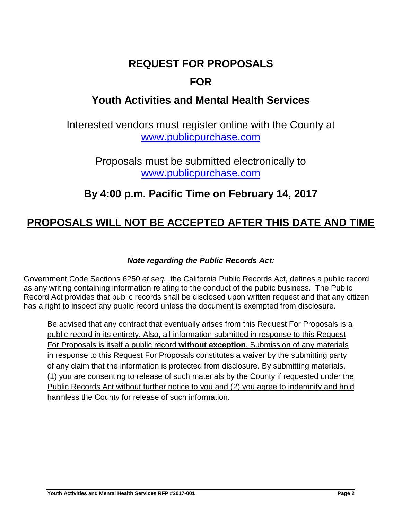## **REQUEST FOR PROPOSALS**

## **FOR**

## **Youth Activities and Mental Health Services**

Interested vendors must register online with the County at [www.publicpurchase.com](http://www.publicpurchase.com/)

> Proposals must be submitted electronically to [www.publicpurchase.com](http://www.publicpurchase.com/)

## **By 4:00 p.m. Pacific Time on February 14, 2017**

## **PROPOSALS WILL NOT BE ACCEPTED AFTER THIS DATE AND TIME**

## *Note regarding the Public Records Act:*

Government Code Sections 6250 *et seq.*, the California Public Records Act, defines a public record as any writing containing information relating to the conduct of the public business. The Public Record Act provides that public records shall be disclosed upon written request and that any citizen has a right to inspect any public record unless the document is exempted from disclosure.

Be advised that any contract that eventually arises from this Request For Proposals is a public record in its entirety. Also, all information submitted in response to this Request For Proposals is itself a public record **without exception**. Submission of any materials in response to this Request For Proposals constitutes a waiver by the submitting party of any claim that the information is protected from disclosure. By submitting materials, (1) you are consenting to release of such materials by the County if requested under the Public Records Act without further notice to you and (2) you agree to indemnify and hold harmless the County for release of such information.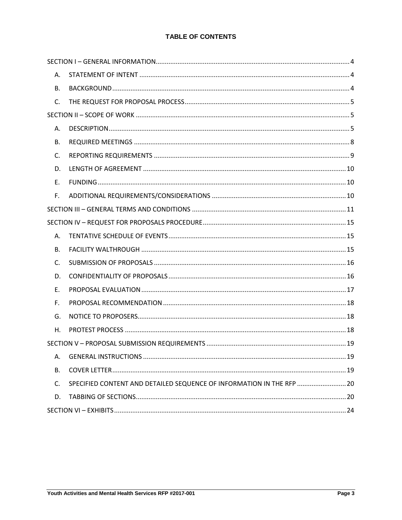#### **TABLE OF CONTENTS**

| А. |                                                                       |  |
|----|-----------------------------------------------------------------------|--|
| В. |                                                                       |  |
| C. |                                                                       |  |
|    |                                                                       |  |
| А. |                                                                       |  |
| В. |                                                                       |  |
| C. |                                                                       |  |
| D. |                                                                       |  |
| E. |                                                                       |  |
| F. |                                                                       |  |
|    |                                                                       |  |
|    |                                                                       |  |
| А. |                                                                       |  |
| В. |                                                                       |  |
| C. |                                                                       |  |
| D. |                                                                       |  |
| F. |                                                                       |  |
| F. |                                                                       |  |
| G. |                                                                       |  |
| Η. |                                                                       |  |
|    |                                                                       |  |
| А. |                                                                       |  |
| В. |                                                                       |  |
| C. | SPECIFIED CONTENT AND DETAILED SEQUENCE OF INFORMATION IN THE RFP  20 |  |
| D. |                                                                       |  |
|    |                                                                       |  |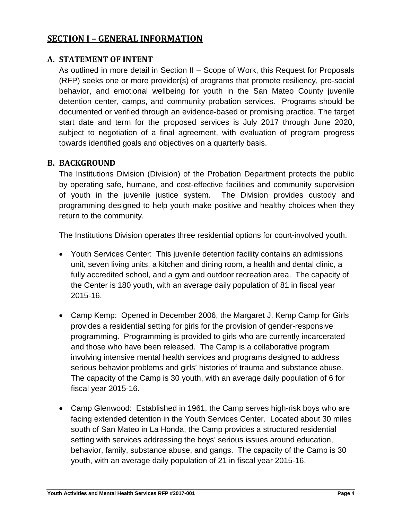## <span id="page-3-0"></span>**SECTION I – GENERAL INFORMATION**

## <span id="page-3-1"></span>**A. STATEMENT OF INTENT**

As outlined in more detail in Section II – Scope of Work, this Request for Proposals (RFP) seeks one or more provider(s) of programs that promote resiliency, pro-social behavior, and emotional wellbeing for youth in the San Mateo County juvenile detention center, camps, and community probation services. Programs should be documented or verified through an evidence-based or promising practice. The target start date and term for the proposed services is July 2017 through June 2020, subject to negotiation of a final agreement, with evaluation of program progress towards identified goals and objectives on a quarterly basis.

## <span id="page-3-2"></span>**B. BACKGROUND**

The Institutions Division (Division) of the Probation Department protects the public by operating safe, humane, and cost-effective facilities and community supervision of youth in the juvenile justice system. The Division provides custody and programming designed to help youth make positive and healthy choices when they return to the community.

The Institutions Division operates three residential options for court-involved youth.

- Youth Services Center: This juvenile detention facility contains an admissions unit, seven living units, a kitchen and dining room, a health and dental clinic, a fully accredited school, and a gym and outdoor recreation area. The capacity of the Center is 180 youth, with an average daily population of 81 in fiscal year 2015-16.
- Camp Kemp: Opened in December 2006, the Margaret J. Kemp Camp for Girls provides a residential setting for girls for the provision of gender-responsive programming. Programming is provided to girls who are currently incarcerated and those who have been released. The Camp is a collaborative program involving intensive mental health services and programs designed to address serious behavior problems and girls' histories of trauma and substance abuse. The capacity of the Camp is 30 youth, with an average daily population of 6 for fiscal year 2015-16.
- Camp Glenwood: Established in 1961, the Camp serves high-risk boys who are facing extended detention in the Youth Services Center. Located about 30 miles south of San Mateo in La Honda, the Camp provides a structured residential setting with services addressing the boys' serious issues around education, behavior, family, substance abuse, and gangs. The capacity of the Camp is 30 youth, with an average daily population of 21 in fiscal year 2015-16.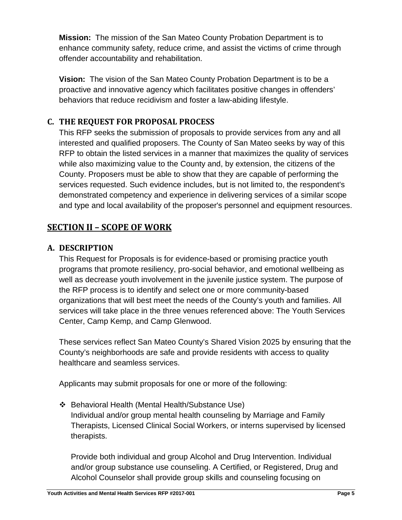**Mission:** The mission of the San Mateo County Probation Department is to enhance community safety, reduce crime, and assist the victims of crime through offender accountability and rehabilitation.

**Vision:** The vision of the San Mateo County Probation Department is to be a proactive and innovative agency which facilitates positive changes in offenders' behaviors that reduce recidivism and foster a law-abiding lifestyle.

## <span id="page-4-0"></span>**C. THE REQUEST FOR PROPOSAL PROCESS**

This RFP seeks the submission of proposals to provide services from any and all interested and qualified proposers. The County of San Mateo seeks by way of this RFP to obtain the listed services in a manner that maximizes the quality of services while also maximizing value to the County and, by extension, the citizens of the County. Proposers must be able to show that they are capable of performing the services requested. Such evidence includes, but is not limited to, the respondent's demonstrated competency and experience in delivering services of a similar scope and type and local availability of the proposer's personnel and equipment resources.

## <span id="page-4-1"></span>**SECTION II – SCOPE OF WORK**

## <span id="page-4-2"></span>**A. DESCRIPTION**

This Request for Proposals is for evidence-based or promising practice youth programs that promote resiliency, pro-social behavior, and emotional wellbeing as well as decrease youth involvement in the juvenile justice system. The purpose of the RFP process is to identify and select one or more community-based organizations that will best meet the needs of the County's youth and families. All services will take place in the three venues referenced above: The Youth Services Center, Camp Kemp, and Camp Glenwood.

These services reflect San Mateo County's Shared Vision 2025 by ensuring that the County's neighborhoods are safe and provide residents with access to quality healthcare and seamless services.

Applicants may submit proposals for one or more of the following:

 Behavioral Health (Mental Health/Substance Use) Individual and/or group mental health counseling by Marriage and Family Therapists, Licensed Clinical Social Workers, or interns supervised by licensed therapists.

Provide both individual and group Alcohol and Drug Intervention. Individual and/or group substance use counseling. A Certified, or Registered, Drug and Alcohol Counselor shall provide group skills and counseling focusing on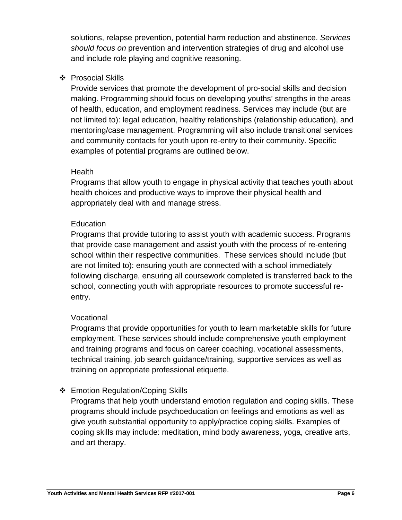solutions, relapse prevention, potential harm reduction and abstinence. *Services should focus on* prevention and intervention strategies of drug and alcohol use and include role playing and cognitive reasoning.

## ❖ Prosocial Skills

Provide services that promote the development of pro-social skills and decision making. Programming should focus on developing youths' strengths in the areas of health, education, and employment readiness. Services may include (but are not limited to): legal education, healthy relationships (relationship education), and mentoring/case management. Programming will also include transitional services and community contacts for youth upon re-entry to their community. Specific examples of potential programs are outlined below.

## **Health**

Programs that allow youth to engage in physical activity that teaches youth about health choices and productive ways to improve their physical health and appropriately deal with and manage stress.

## **Education**

Programs that provide tutoring to assist youth with academic success. Programs that provide case management and assist youth with the process of re-entering school within their respective communities. These services should include (but are not limited to): ensuring youth are connected with a school immediately following discharge, ensuring all coursework completed is transferred back to the school, connecting youth with appropriate resources to promote successful reentry.

## Vocational

Programs that provide opportunities for youth to learn marketable skills for future employment. These services should include comprehensive youth employment and training programs and focus on career coaching, vocational assessments, technical training, job search guidance/training, supportive services as well as training on appropriate professional etiquette.

## ❖ Emotion Regulation/Coping Skills

Programs that help youth understand emotion regulation and coping skills. These programs should include psychoeducation on feelings and emotions as well as give youth substantial opportunity to apply/practice coping skills. Examples of coping skills may include: meditation, mind body awareness, yoga, creative arts, and art therapy.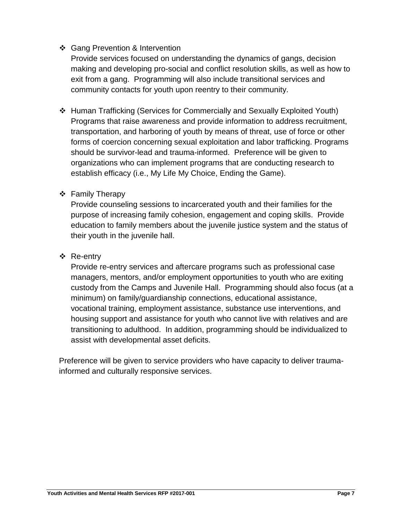## Gang Prevention & Intervention

Provide services focused on understanding the dynamics of gangs, decision making and developing pro-social and conflict resolution skills, as well as how to exit from a gang. Programming will also include transitional services and community contacts for youth upon reentry to their community.

 Human Trafficking (Services for Commercially and Sexually Exploited Youth) Programs that raise awareness and provide information to address recruitment, transportation, and harboring of youth by means of threat, use of force or other forms of coercion concerning sexual exploitation and labor trafficking. Programs should be survivor-lead and trauma-informed. Preference will be given to organizations who can implement programs that are conducting research to establish efficacy (i.e., My Life My Choice, Ending the Game).

## ❖ Family Therapy

Provide counseling sessions to incarcerated youth and their families for the purpose of increasing family cohesion, engagement and coping skills. Provide education to family members about the juvenile justice system and the status of their youth in the juvenile hall.

## Re-entry

Provide re-entry services and aftercare programs such as professional case managers, mentors, and/or employment opportunities to youth who are exiting custody from the Camps and Juvenile Hall. Programming should also focus (at a minimum) on family/guardianship connections, educational assistance, vocational training, employment assistance, substance use interventions, and housing support and assistance for youth who cannot live with relatives and are transitioning to adulthood. In addition, programming should be individualized to assist with developmental asset deficits.

Preference will be given to service providers who have capacity to deliver traumainformed and culturally responsive services.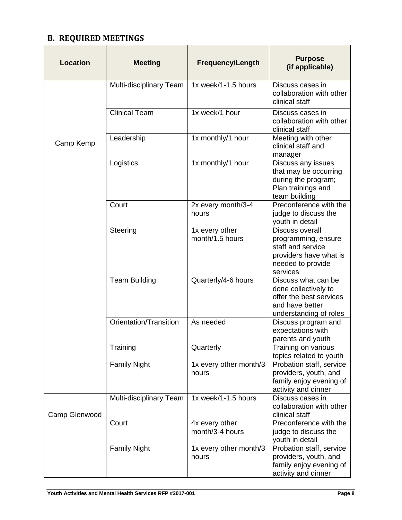## <span id="page-7-0"></span>**B. REQUIRED MEETINGS**

| <b>Location</b> | <b>Meeting</b>          | <b>Frequency/Length</b>           | <b>Purpose</b><br>(if applicable)                                                                                      |
|-----------------|-------------------------|-----------------------------------|------------------------------------------------------------------------------------------------------------------------|
|                 | Multi-disciplinary Team | 1x week/1-1.5 hours               | Discuss cases in<br>collaboration with other<br>clinical staff                                                         |
|                 | <b>Clinical Team</b>    | 1x week/1 hour                    | Discuss cases in<br>collaboration with other<br>clinical staff                                                         |
| Camp Kemp       | Leadership              | 1x monthly/1 hour                 | Meeting with other<br>clinical staff and<br>manager                                                                    |
|                 | Logistics               | 1x monthly/1 hour                 | Discuss any issues<br>that may be occurring<br>during the program;<br>Plan trainings and<br>team building              |
|                 | Court                   | 2x every month/3-4<br>hours       | Preconference with the<br>judge to discuss the<br>youth in detail                                                      |
|                 | Steering                | 1x every other<br>month/1.5 hours | Discuss overall<br>programming, ensure<br>staff and service<br>providers have what is<br>needed to provide<br>services |
|                 | <b>Team Building</b>    | Quarterly/4-6 hours               | Discuss what can be<br>done collectively to<br>offer the best services<br>and have better<br>understanding of roles    |
|                 | Orientation/Transition  | As needed                         | Discuss program and<br>expectations with<br>parents and youth                                                          |
|                 | Training                | Quarterly                         | Training on various<br>topics related to youth                                                                         |
|                 | <b>Family Night</b>     | 1x every other month/3<br>hours   | Probation staff, service<br>providers, youth, and<br>family enjoy evening of<br>activity and dinner                    |
| Camp Glenwood   | Multi-disciplinary Team | 1x week/1-1.5 hours               | Discuss cases in<br>collaboration with other<br>clinical staff                                                         |
|                 | Court                   | 4x every other<br>month/3-4 hours | Preconference with the<br>judge to discuss the<br>youth in detail                                                      |
|                 | <b>Family Night</b>     | 1x every other month/3<br>hours   | Probation staff, service<br>providers, youth, and<br>family enjoy evening of<br>activity and dinner                    |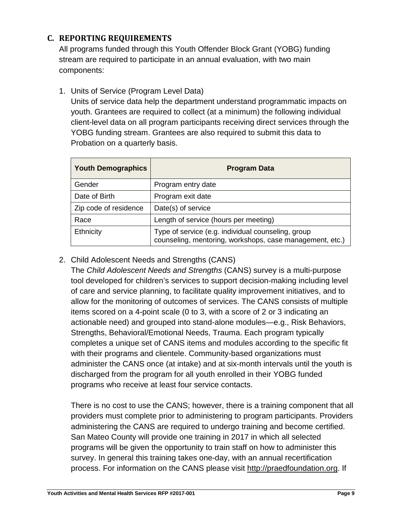## <span id="page-8-0"></span>**C. REPORTING REQUIREMENTS**

All programs funded through this Youth Offender Block Grant (YOBG) funding stream are required to participate in an annual evaluation, with two main components:

1. Units of Service (Program Level Data)

Units of service data help the department understand programmatic impacts on youth. Grantees are required to collect (at a minimum) the following individual client-level data on all program participants receiving direct services through the YOBG funding stream. Grantees are also required to submit this data to Probation on a quarterly basis.

| <b>Youth Demographics</b> | <b>Program Data</b>                                                                                            |  |
|---------------------------|----------------------------------------------------------------------------------------------------------------|--|
| Gender                    | Program entry date                                                                                             |  |
| Date of Birth             | Program exit date                                                                                              |  |
| Zip code of residence     | Date(s) of service                                                                                             |  |
| Race                      | Length of service (hours per meeting)                                                                          |  |
| Ethnicity                 | Type of service (e.g. individual counseling, group<br>counseling, mentoring, workshops, case management, etc.) |  |

## 2. Child Adolescent Needs and Strengths (CANS)

The *Child Adolescent Needs and Strengths* (CANS) survey is a multi-purpose tool developed for children's services to support decision-making including level of care and service planning, to facilitate quality improvement initiatives, and to allow for the monitoring of outcomes of services. The CANS consists of multiple items scored on a 4-point scale (0 to 3, with a score of 2 or 3 indicating an actionable need) and grouped into stand-alone modules—e.g., Risk Behaviors, Strengths, Behavioral/Emotional Needs, Trauma. Each program typically completes a unique set of CANS items and modules according to the specific fit with their programs and clientele. Community-based organizations must administer the CANS once (at intake) and at six-month intervals until the youth is discharged from the program for all youth enrolled in their YOBG funded programs who receive at least four service contacts.

There is no cost to use the CANS; however, there is a training component that all providers must complete prior to administering to program participants. Providers administering the CANS are required to undergo training and become certified. San Mateo County will provide one training in 2017 in which all selected programs will be given the opportunity to train staff on how to administer this survey. In general this training takes one-day, with an annual recertification process. For information on the CANS please visit [http://praedfoundation.org.](http://praedfoundation.org/) If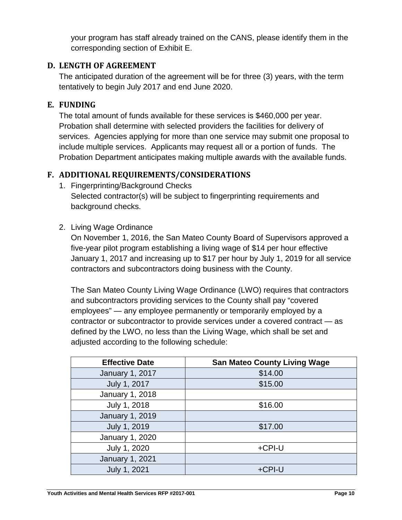your program has staff already trained on the CANS, please identify them in the corresponding section of Exhibit E.

## <span id="page-9-0"></span>**D. LENGTH OF AGREEMENT**

The anticipated duration of the agreement will be for three (3) years, with the term tentatively to begin July 2017 and end June 2020.

## <span id="page-9-1"></span>**E. FUNDING**

The total amount of funds available for these services is \$460,000 per year. Probation shall determine with selected providers the facilities for delivery of services. Agencies applying for more than one service may submit one proposal to include multiple services. Applicants may request all or a portion of funds. The Probation Department anticipates making multiple awards with the available funds.

## <span id="page-9-2"></span>**F. ADDITIONAL REQUIREMENTS/CONSIDERATIONS**

- 1. Fingerprinting/Background Checks Selected contractor(s) will be subject to fingerprinting requirements and background checks.
- 2. Living Wage Ordinance

On November 1, 2016, the San Mateo County Board of Supervisors approved a five-year pilot program establishing a living wage of \$14 per hour effective January 1, 2017 and increasing up to \$17 per hour by July 1, 2019 for all service contractors and subcontractors doing business with the County.

The San Mateo County Living Wage Ordinance (LWO) requires that contractors and subcontractors providing services to the County shall pay "covered employees" — any employee permanently or temporarily employed by a contractor or subcontractor to provide services under a covered contract — as defined by the LWO, no less than the Living Wage, which shall be set and adjusted according to the following schedule:

| <b>Effective Date</b>  | <b>San Mateo County Living Wage</b> |
|------------------------|-------------------------------------|
| January 1, 2017        | \$14.00                             |
| July 1, 2017           | \$15.00                             |
| January 1, 2018        |                                     |
| July 1, 2018           | \$16.00                             |
| January 1, 2019        |                                     |
| July 1, 2019           | \$17.00                             |
| January 1, 2020        |                                     |
| July 1, 2020           | +CPI-U                              |
| <b>January 1, 2021</b> |                                     |
| July 1, 2021           | +CPI-U                              |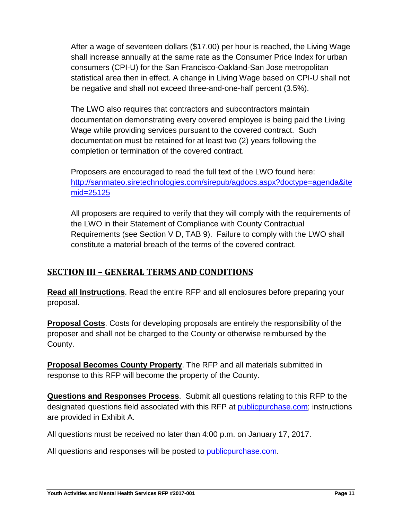After a wage of seventeen dollars (\$17.00) per hour is reached, the Living Wage shall increase annually at the same rate as the Consumer Price Index for urban consumers (CPI-U) for the San Francisco-Oakland-San Jose metropolitan statistical area then in effect. A change in Living Wage based on CPI-U shall not be negative and shall not exceed three-and-one-half percent (3.5%).

The LWO also requires that contractors and subcontractors maintain documentation demonstrating every covered employee is being paid the Living Wage while providing services pursuant to the covered contract. Such documentation must be retained for at least two (2) years following the completion or termination of the covered contract.

Proposers are encouraged to read the full text of the LWO found here: [http://sanmateo.siretechnologies.com/sirepub/agdocs.aspx?doctype=agenda&ite](http://sanmateo.siretechnologies.com/sirepub/agdocs.aspx?doctype=agenda&itemid=25125) [mid=25125](http://sanmateo.siretechnologies.com/sirepub/agdocs.aspx?doctype=agenda&itemid=25125)

All proposers are required to verify that they will comply with the requirements of the LWO in their Statement of Compliance with County Contractual Requirements (see Section V D, TAB 9). Failure to comply with the LWO shall constitute a material breach of the terms of the covered contract.

## <span id="page-10-0"></span>**SECTION III – GENERAL TERMS AND CONDITIONS**

**Read all Instructions**. Read the entire RFP and all enclosures before preparing your proposal.

**Proposal Costs**. Costs for developing proposals are entirely the responsibility of the proposer and shall not be charged to the County or otherwise reimbursed by the County.

**Proposal Becomes County Property**. The RFP and all materials submitted in response to this RFP will become the property of the County.

**Questions and Responses Process**. Submit all questions relating to this RFP to the designated questions field associated with this RFP at publicpurchase.com; instructions are provided in Exhibit A.

All questions must be received no later than 4:00 p.m. on January 17, 2017.

All questions and responses will be posted to **publicpurchase.com**.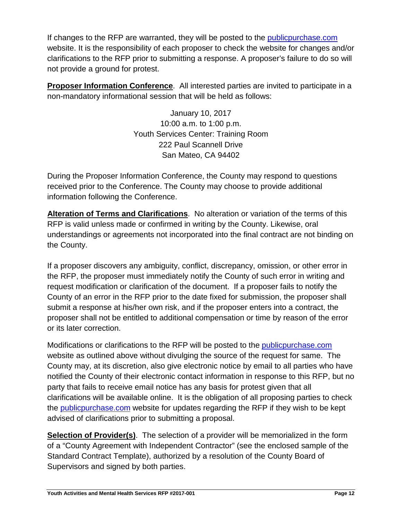If changes to the RFP are warranted, they will be posted to the publicpurchase.com website. It is the responsibility of each proposer to check the website for changes and/or clarifications to the RFP prior to submitting a response. A proposer's failure to do so will not provide a ground for protest.

**Proposer Information Conference**. All interested parties are invited to participate in a non-mandatory informational session that will be held as follows:

> January 10, 2017 10:00 a.m. to 1:00 p.m. Youth Services Center: Training Room 222 Paul Scannell Drive San Mateo, CA 94402

During the Proposer Information Conference, the County may respond to questions received prior to the Conference. The County may choose to provide additional information following the Conference.

**Alteration of Terms and Clarifications**. No alteration or variation of the terms of this RFP is valid unless made or confirmed in writing by the County. Likewise, oral understandings or agreements not incorporated into the final contract are not binding on the County.

If a proposer discovers any ambiguity, conflict, discrepancy, omission, or other error in the RFP, the proposer must immediately notify the County of such error in writing and request modification or clarification of the document. If a proposer fails to notify the County of an error in the RFP prior to the date fixed for submission, the proposer shall submit a response at his/her own risk, and if the proposer enters into a contract, the proposer shall not be entitled to additional compensation or time by reason of the error or its later correction.

Modifications or clarifications to the RFP will be posted to the publicpurchase.com website as outlined above without divulging the source of the request for same. The County may, at its discretion, also give electronic notice by email to all parties who have notified the County of their electronic contact information in response to this RFP, but no party that fails to receive email notice has any basis for protest given that all clarifications will be available online. It is the obligation of all proposing parties to check the **publicpurchase.com** website for updates regarding the RFP if they wish to be kept advised of clarifications prior to submitting a proposal.

**Selection of Provider(s)**. The selection of a provider will be memorialized in the form of a "County Agreement with Independent Contractor" (see the enclosed sample of the Standard Contract Template), authorized by a resolution of the County Board of Supervisors and signed by both parties.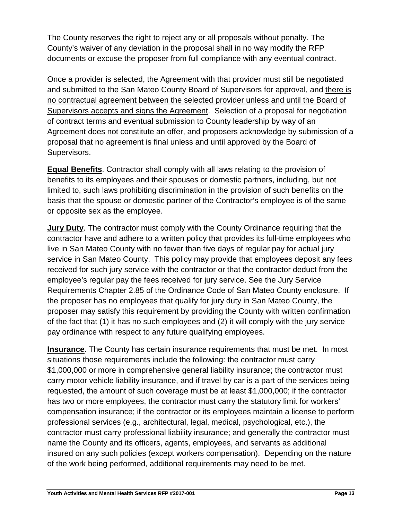The County reserves the right to reject any or all proposals without penalty. The County's waiver of any deviation in the proposal shall in no way modify the RFP documents or excuse the proposer from full compliance with any eventual contract.

Once a provider is selected, the Agreement with that provider must still be negotiated and submitted to the San Mateo County Board of Supervisors for approval, and there is no contractual agreement between the selected provider unless and until the Board of Supervisors accepts and signs the Agreement. Selection of a proposal for negotiation of contract terms and eventual submission to County leadership by way of an Agreement does not constitute an offer, and proposers acknowledge by submission of a proposal that no agreement is final unless and until approved by the Board of Supervisors.

**Equal Benefits**. Contractor shall comply with all laws relating to the provision of benefits to its employees and their spouses or domestic partners, including, but not limited to, such laws prohibiting discrimination in the provision of such benefits on the basis that the spouse or domestic partner of the Contractor's employee is of the same or opposite sex as the employee.

**Jury Duty**. The contractor must comply with the County Ordinance requiring that the contractor have and adhere to a written policy that provides its full-time employees who live in San Mateo County with no fewer than five days of regular pay for actual jury service in San Mateo County. This policy may provide that employees deposit any fees received for such jury service with the contractor or that the contractor deduct from the employee's regular pay the fees received for jury service. See the Jury Service Requirements Chapter 2.85 of the Ordinance Code of San Mateo County enclosure. If the proposer has no employees that qualify for jury duty in San Mateo County, the proposer may satisfy this requirement by providing the County with written confirmation of the fact that (1) it has no such employees and (2) it will comply with the jury service pay ordinance with respect to any future qualifying employees.

**Insurance**. The County has certain insurance requirements that must be met. In most situations those requirements include the following: the contractor must carry \$1,000,000 or more in comprehensive general liability insurance; the contractor must carry motor vehicle liability insurance, and if travel by car is a part of the services being requested, the amount of such coverage must be at least \$1,000,000; if the contractor has two or more employees, the contractor must carry the statutory limit for workers' compensation insurance; if the contractor or its employees maintain a license to perform professional services (e.g., architectural, legal, medical, psychological, etc.), the contractor must carry professional liability insurance; and generally the contractor must name the County and its officers, agents, employees, and servants as additional insured on any such policies (except workers compensation). Depending on the nature of the work being performed, additional requirements may need to be met.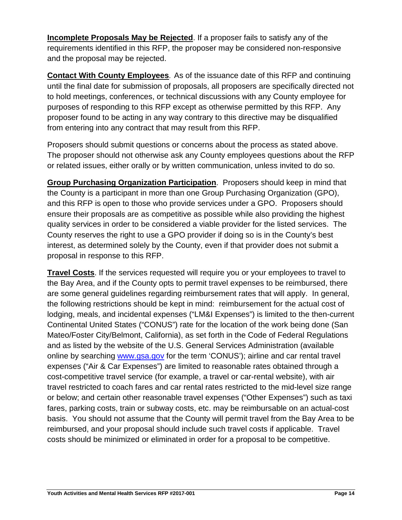**Incomplete Proposals May be Rejected**. If a proposer fails to satisfy any of the requirements identified in this RFP, the proposer may be considered non-responsive and the proposal may be rejected.

**Contact With County Employees**. As of the issuance date of this RFP and continuing until the final date for submission of proposals, all proposers are specifically directed not to hold meetings, conferences, or technical discussions with any County employee for purposes of responding to this RFP except as otherwise permitted by this RFP. Any proposer found to be acting in any way contrary to this directive may be disqualified from entering into any contract that may result from this RFP.

Proposers should submit questions or concerns about the process as stated above. The proposer should not otherwise ask any County employees questions about the RFP or related issues, either orally or by written communication, unless invited to do so.

**Group Purchasing Organization Participation**. Proposers should keep in mind that the County is a participant in more than one Group Purchasing Organization (GPO), and this RFP is open to those who provide services under a GPO. Proposers should ensure their proposals are as competitive as possible while also providing the highest quality services in order to be considered a viable provider for the listed services. The County reserves the right to use a GPO provider if doing so is in the County's best interest, as determined solely by the County, even if that provider does not submit a proposal in response to this RFP.

**Travel Costs**. If the services requested will require you or your employees to travel to the Bay Area, and if the County opts to permit travel expenses to be reimbursed, there are some general guidelines regarding reimbursement rates that will apply. In general, the following restrictions should be kept in mind: reimbursement for the actual cost of lodging, meals, and incidental expenses ("LM&I Expenses") is limited to the then-current Continental United States ("CONUS") rate for the location of the work being done (San Mateo/Foster City/Belmont, California), as set forth in the Code of Federal Regulations and as listed by the website of the U.S. General Services Administration (available online by searching www.gsa.gov for the term 'CONUS'); airline and car rental travel expenses ("Air & Car Expenses") are limited to reasonable rates obtained through a cost-competitive travel service (for example, a travel or car-rental website), with air travel restricted to coach fares and car rental rates restricted to the mid-level size range or below; and certain other reasonable travel expenses ("Other Expenses") such as taxi fares, parking costs, train or subway costs, etc. may be reimbursable on an actual-cost basis. You should not assume that the County will permit travel from the Bay Area to be reimbursed, and your proposal should include such travel costs if applicable. Travel costs should be minimized or eliminated in order for a proposal to be competitive.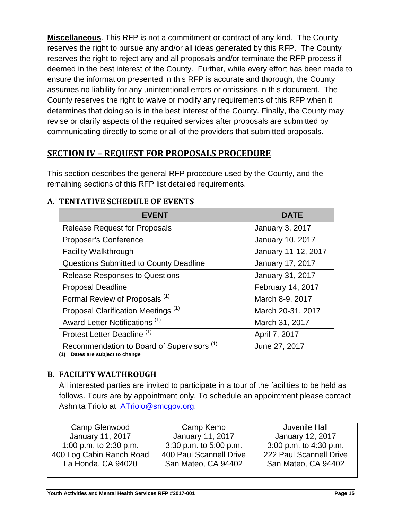**Miscellaneous**. This RFP is not a commitment or contract of any kind. The County reserves the right to pursue any and/or all ideas generated by this RFP. The County reserves the right to reject any and all proposals and/or terminate the RFP process if deemed in the best interest of the County. Further, while every effort has been made to ensure the information presented in this RFP is accurate and thorough, the County assumes no liability for any unintentional errors or omissions in this document. The County reserves the right to waive or modify any requirements of this RFP when it determines that doing so is in the best interest of the County. Finally, the County may revise or clarify aspects of the required services after proposals are submitted by communicating directly to some or all of the providers that submitted proposals.

## <span id="page-14-0"></span>**SECTION IV – REQUEST FOR PROPOSALS PROCEDURE**

This section describes the general RFP procedure used by the County, and the remaining sections of this RFP list detailed requirements.

## <span id="page-14-1"></span>**A. TENTATIVE SCHEDULE OF EVENTS**

| <b>EVENT</b>                                          | <b>DATE</b>            |
|-------------------------------------------------------|------------------------|
| <b>Release Request for Proposals</b>                  | <b>January 3, 2017</b> |
| Proposer's Conference                                 | January 10, 2017       |
| <b>Facility Walkthrough</b>                           | January 11-12, 2017    |
| <b>Questions Submitted to County Deadline</b>         | January 17, 2017       |
| <b>Release Responses to Questions</b>                 | January 31, 2017       |
| <b>Proposal Deadline</b>                              | February 14, 2017      |
| Formal Review of Proposals <sup>(1)</sup>             | March 8-9, 2017        |
| Proposal Clarification Meetings <sup>(1)</sup>        | March 20-31, 2017      |
| Award Letter Notifications <sup>(1)</sup>             | March 31, 2017         |
| Protest Letter Deadline <sup>(1)</sup>                | April 7, 2017          |
| Recommendation to Board of Supervisors <sup>(1)</sup> | June 27, 2017          |
| (1) Dates are subject to change                       |                        |

## <span id="page-14-2"></span>**B. FACILITY WALTHROUGH**

All interested parties are invited to participate in a tour of the facilities to be held as follows. Tours are by appointment only. To schedule an appointment please contact Ashnita Triolo at [ATriolo@smcgov.org.](mailto:ATriolo@smcgov.org)

| Camp Glenwood            | Camp Kemp               | Juvenile Hall           |
|--------------------------|-------------------------|-------------------------|
| January 11, 2017         | <b>January 11, 2017</b> | January 12, 2017        |
| 1:00 p.m. to 2:30 p.m.   | 3:30 p.m. to 5:00 p.m.  | 3:00 p.m. to 4:30 p.m.  |
| 400 Log Cabin Ranch Road | 400 Paul Scannell Drive | 222 Paul Scannell Drive |
| La Honda, CA 94020       | San Mateo, CA 94402     | San Mateo, CA 94402     |
|                          |                         |                         |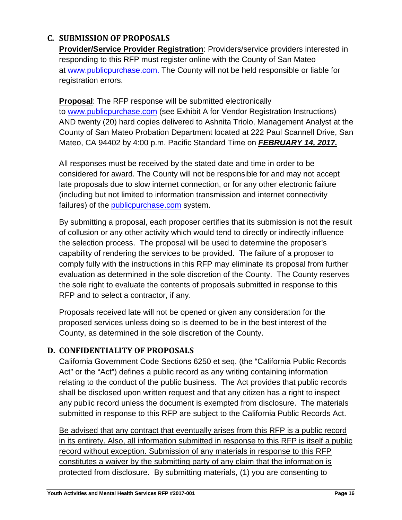## <span id="page-15-0"></span>**C. SUBMISSION OF PROPOSALS**

**Provider/Service Provider Registration**: Providers/service providers interested in responding to this RFP must register online with the County of San Mateo at [www.publicpurchase.com.](http://www.publicpurchase.com/) The County will not be held responsible or liable for registration errors.

**Proposal**: The RFP response will be submitted electronically to [www.publicpurchase.com](http://www.publicpurchase.com/) (see Exhibit A for Vendor Registration Instructions) AND twenty (20) hard copies delivered to Ashnita Triolo, Management Analyst at the County of San Mateo Probation Department located at 222 Paul Scannell Drive, San Mateo, CA 94402 by 4:00 p.m. Pacific Standard Time on *FEBRUARY 14, 2017.*

All responses must be received by the stated date and time in order to be considered for award. The County will not be responsible for and may not accept late proposals due to slow internet connection, or for any other electronic failure (including but not limited to information transmission and internet connectivity failures) of the publicpurchase.com system.

By submitting a proposal, each proposer certifies that its submission is not the result of collusion or any other activity which would tend to directly or indirectly influence the selection process. The proposal will be used to determine the proposer's capability of rendering the services to be provided. The failure of a proposer to comply fully with the instructions in this RFP may eliminate its proposal from further evaluation as determined in the sole discretion of the County. The County reserves the sole right to evaluate the contents of proposals submitted in response to this RFP and to select a contractor, if any.

Proposals received late will not be opened or given any consideration for the proposed services unless doing so is deemed to be in the best interest of the County, as determined in the sole discretion of the County.

## <span id="page-15-1"></span>**D. CONFIDENTIALITY OF PROPOSALS**

California Government Code Sections 6250 et seq. (the "California Public Records Act" or the "Act") defines a public record as any writing containing information relating to the conduct of the public business. The Act provides that public records shall be disclosed upon written request and that any citizen has a right to inspect any public record unless the document is exempted from disclosure. The materials submitted in response to this RFP are subject to the California Public Records Act.

Be advised that any contract that eventually arises from this RFP is a public record in its entirety. Also, all information submitted in response to this RFP is itself a public record without exception. Submission of any materials in response to this RFP constitutes a waiver by the submitting party of any claim that the information is protected from disclosure. By submitting materials, (1) you are consenting to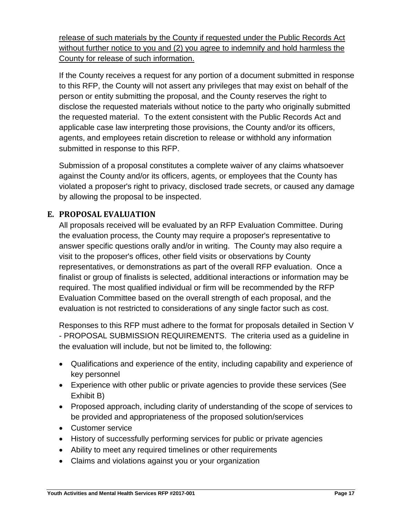release of such materials by the County if requested under the Public Records Act without further notice to you and (2) you agree to indemnify and hold harmless the County for release of such information.

If the County receives a request for any portion of a document submitted in response to this RFP, the County will not assert any privileges that may exist on behalf of the person or entity submitting the proposal, and the County reserves the right to disclose the requested materials without notice to the party who originally submitted the requested material. To the extent consistent with the Public Records Act and applicable case law interpreting those provisions, the County and/or its officers, agents, and employees retain discretion to release or withhold any information submitted in response to this RFP.

Submission of a proposal constitutes a complete waiver of any claims whatsoever against the County and/or its officers, agents, or employees that the County has violated a proposer's right to privacy, disclosed trade secrets, or caused any damage by allowing the proposal to be inspected.

## <span id="page-16-0"></span>**E. PROPOSAL EVALUATION**

All proposals received will be evaluated by an RFP Evaluation Committee. During the evaluation process, the County may require a proposer's representative to answer specific questions orally and/or in writing. The County may also require a visit to the proposer's offices, other field visits or observations by County representatives, or demonstrations as part of the overall RFP evaluation. Once a finalist or group of finalists is selected, additional interactions or information may be required. The most qualified individual or firm will be recommended by the RFP Evaluation Committee based on the overall strength of each proposal, and the evaluation is not restricted to considerations of any single factor such as cost.

Responses to this RFP must adhere to the format for proposals detailed in Section V - PROPOSAL SUBMISSION REQUIREMENTS. The criteria used as a guideline in the evaluation will include, but not be limited to, the following:

- Qualifications and experience of the entity, including capability and experience of key personnel
- Experience with other public or private agencies to provide these services (See Exhibit B)
- Proposed approach, including clarity of understanding of the scope of services to be provided and appropriateness of the proposed solution/services
- Customer service
- History of successfully performing services for public or private agencies
- Ability to meet any required timelines or other requirements
- Claims and violations against you or your organization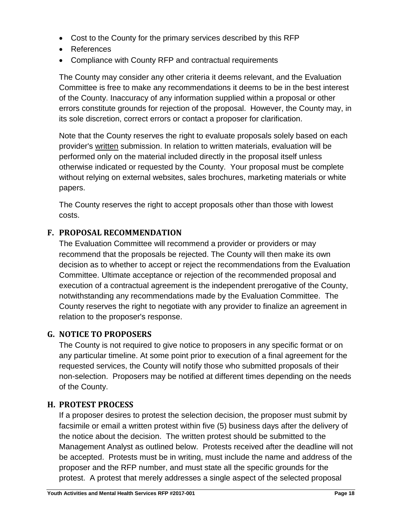- Cost to the County for the primary services described by this RFP
- References
- Compliance with County RFP and contractual requirements

The County may consider any other criteria it deems relevant, and the Evaluation Committee is free to make any recommendations it deems to be in the best interest of the County. Inaccuracy of any information supplied within a proposal or other errors constitute grounds for rejection of the proposal. However, the County may, in its sole discretion, correct errors or contact a proposer for clarification.

Note that the County reserves the right to evaluate proposals solely based on each provider's written submission. In relation to written materials, evaluation will be performed only on the material included directly in the proposal itself unless otherwise indicated or requested by the County. Your proposal must be complete without relying on external websites, sales brochures, marketing materials or white papers.

The County reserves the right to accept proposals other than those with lowest costs.

## <span id="page-17-0"></span>**F. PROPOSAL RECOMMENDATION**

The Evaluation Committee will recommend a provider or providers or may recommend that the proposals be rejected. The County will then make its own decision as to whether to accept or reject the recommendations from the Evaluation Committee. Ultimate acceptance or rejection of the recommended proposal and execution of a contractual agreement is the independent prerogative of the County, notwithstanding any recommendations made by the Evaluation Committee. The County reserves the right to negotiate with any provider to finalize an agreement in relation to the proposer's response.

## <span id="page-17-1"></span>**G. NOTICE TO PROPOSERS**

The County is not required to give notice to proposers in any specific format or on any particular timeline. At some point prior to execution of a final agreement for the requested services, the County will notify those who submitted proposals of their non-selection. Proposers may be notified at different times depending on the needs of the County.

## <span id="page-17-2"></span>**H. PROTEST PROCESS**

If a proposer desires to protest the selection decision, the proposer must submit by facsimile or email a written protest within five (5) business days after the delivery of the notice about the decision. The written protest should be submitted to the Management Analyst as outlined below. Protests received after the deadline will not be accepted. Protests must be in writing, must include the name and address of the proposer and the RFP number, and must state all the specific grounds for the protest. A protest that merely addresses a single aspect of the selected proposal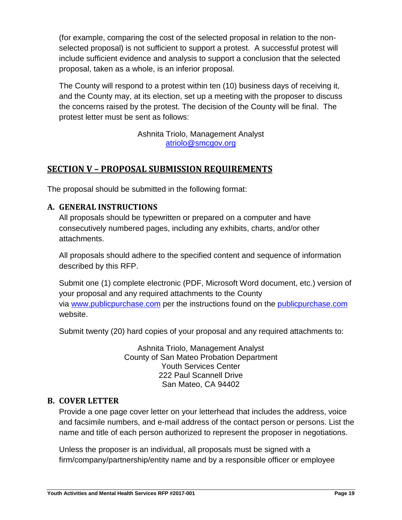(for example, comparing the cost of the selected proposal in relation to the nonselected proposal) is not sufficient to support a protest. A successful protest will include sufficient evidence and analysis to support a conclusion that the selected proposal, taken as a whole, is an inferior proposal.

The County will respond to a protest within ten (10) business days of receiving it, and the County may, at its election, set up a meeting with the proposer to discuss the concerns raised by the protest. The decision of the County will be final. The protest letter must be sent as follows:

> Ashnita Triolo, Management Analyst [atriolo@smcgov.org](mailto:atriolo@smcgov.org)

## <span id="page-18-0"></span>**SECTION V – PROPOSAL SUBMISSION REQUIREMENTS**

The proposal should be submitted in the following format:

## <span id="page-18-1"></span>**A. GENERAL INSTRUCTIONS**

All proposals should be typewritten or prepared on a computer and have consecutively numbered pages, including any exhibits, charts, and/or other attachments.

All proposals should adhere to the specified content and sequence of information described by this RFP.

Submit one (1) complete electronic (PDF, Microsoft Word document, etc.) version of your proposal and any required attachments to the County via [www.publicpurchase.com](http://www.publicpurchase.com/) per the instructions found on the publicpurchase.com website.

Submit twenty (20) hard copies of your proposal and any required attachments to:

Ashnita Triolo, Management Analyst County of San Mateo Probation Department Youth Services Center 222 Paul Scannell Drive San Mateo, CA 94402

## <span id="page-18-2"></span>**B. COVER LETTER**

Provide a one page cover letter on your letterhead that includes the address, voice and facsimile numbers, and e-mail address of the contact person or persons. List the name and title of each person authorized to represent the proposer in negotiations.

Unless the proposer is an individual, all proposals must be signed with a firm/company/partnership/entity name and by a responsible officer or employee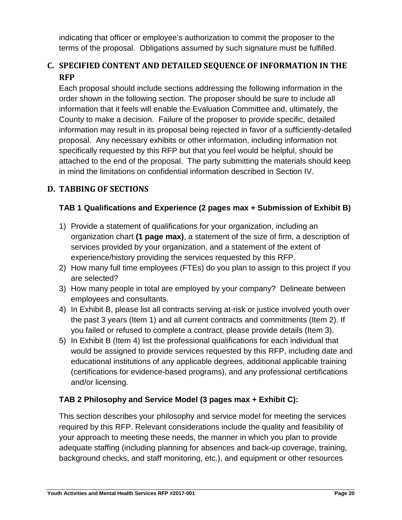indicating that officer or employee's authorization to commit the proposer to the terms of the proposal. Obligations assumed by such signature must be fulfilled.

## <span id="page-19-0"></span>**C. SPECIFIED CONTENT AND DETAILED SEQUENCE OF INFORMATION IN THE RFP**

Each proposal should include sections addressing the following information in the order shown in the following section. The proposer should be sure to include all information that it feels will enable the Evaluation Committee and, ultimately, the County to make a decision. Failure of the proposer to provide specific, detailed information may result in its proposal being rejected in favor of a sufficiently-detailed proposal. Any necessary exhibits or other information, including information not specifically requested by this RFP but that you feel would be helpful, should be attached to the end of the proposal. The party submitting the materials should keep in mind the limitations on confidential information described in Section IV.

## <span id="page-19-1"></span>**D. TABBING OF SECTIONS**

## **TAB 1 Qualifications and Experience (2 pages max + Submission of Exhibit B)**

- 1) Provide a statement of qualifications for your organization, including an organization chart **(1 page max)**, a statement of the size of firm, a description of services provided by your organization, and a statement of the extent of experience/history providing the services requested by this RFP.
- 2) How many full time employees (FTEs) do you plan to assign to this project if you are selected?
- 3) How many people in total are employed by your company? Delineate between employees and consultants.
- 4) In Exhibit B, please list all contracts serving at-risk or justice involved youth over the past 3 years (Item 1) and all current contracts and commitments (Item 2). If you failed or refused to complete a contract, please provide details (Item 3).
- 5) In Exhibit B (Item 4) list the professional qualifications for each individual that would be assigned to provide services requested by this RFP, including date and educational institutions of any applicable degrees, additional applicable training (certifications for evidence-based programs), and any professional certifications and/or licensing.

## **TAB 2 Philosophy and Service Model (3 pages max + Exhibit C):**

This section describes your philosophy and service model for meeting the services required by this RFP. Relevant considerations include the quality and feasibility of your approach to meeting these needs, the manner in which you plan to provide adequate staffing (including planning for absences and back-up coverage, training, background checks, and staff monitoring, etc.), and equipment or other resources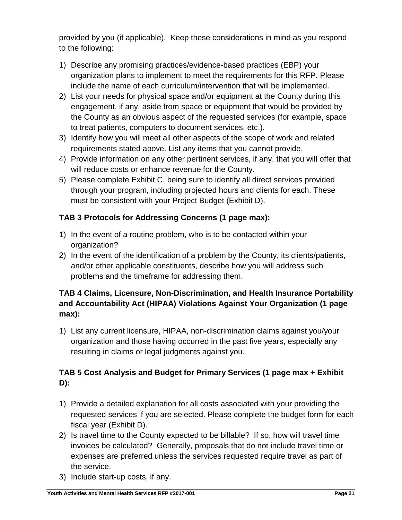provided by you (if applicable). Keep these considerations in mind as you respond to the following:

- 1) Describe any promising practices/evidence-based practices (EBP) your organization plans to implement to meet the requirements for this RFP. Please include the name of each curriculum/intervention that will be implemented.
- 2) List your needs for physical space and/or equipment at the County during this engagement, if any, aside from space or equipment that would be provided by the County as an obvious aspect of the requested services (for example, space to treat patients, computers to document services, etc.).
- 3) Identify how you will meet all other aspects of the scope of work and related requirements stated above. List any items that you cannot provide.
- 4) Provide information on any other pertinent services, if any, that you will offer that will reduce costs or enhance revenue for the County.
- 5) Please complete Exhibit C, being sure to identify all direct services provided through your program, including projected hours and clients for each. These must be consistent with your Project Budget (Exhibit D).

## **TAB 3 Protocols for Addressing Concerns (1 page max):**

- 1) In the event of a routine problem, who is to be contacted within your organization?
- 2) In the event of the identification of a problem by the County, its clients/patients, and/or other applicable constituents, describe how you will address such problems and the timeframe for addressing them.

## **TAB 4 Claims, Licensure, Non-Discrimination, and Health Insurance Portability and Accountability Act (HIPAA) Violations Against Your Organization (1 page max):**

1) List any current licensure, HIPAA, non-discrimination claims against you/your organization and those having occurred in the past five years, especially any resulting in claims or legal judgments against you.

## **TAB 5 Cost Analysis and Budget for Primary Services (1 page max + Exhibit D):**

- 1) Provide a detailed explanation for all costs associated with your providing the requested services if you are selected. Please complete the budget form for each fiscal year (Exhibit D).
- 2) Is travel time to the County expected to be billable? If so, how will travel time invoices be calculated? Generally, proposals that do not include travel time or expenses are preferred unless the services requested require travel as part of the service.
- 3) Include start-up costs, if any.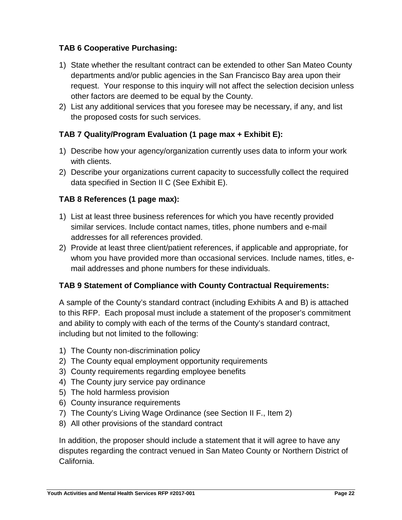## **TAB 6 Cooperative Purchasing:**

- 1) State whether the resultant contract can be extended to other San Mateo County departments and/or public agencies in the San Francisco Bay area upon their request. Your response to this inquiry will not affect the selection decision unless other factors are deemed to be equal by the County.
- 2) List any additional services that you foresee may be necessary, if any, and list the proposed costs for such services.

## **TAB 7 Quality/Program Evaluation (1 page max + Exhibit E):**

- 1) Describe how your agency/organization currently uses data to inform your work with clients.
- 2) Describe your organizations current capacity to successfully collect the required data specified in Section II C (See Exhibit E).

## **TAB 8 References (1 page max):**

- 1) List at least three business references for which you have recently provided similar services. Include contact names, titles, phone numbers and e-mail addresses for all references provided.
- 2) Provide at least three client/patient references, if applicable and appropriate, for whom you have provided more than occasional services. Include names, titles, email addresses and phone numbers for these individuals.

## **TAB 9 Statement of Compliance with County Contractual Requirements:**

A sample of the County's standard contract (including Exhibits A and B) is attached to this RFP. Each proposal must include a statement of the proposer's commitment and ability to comply with each of the terms of the County's standard contract, including but not limited to the following:

- 1) The County non-discrimination policy
- 2) The County equal employment opportunity requirements
- 3) County requirements regarding employee benefits
- 4) The County jury service pay ordinance
- 5) The hold harmless provision
- 6) County insurance requirements
- 7) The County's Living Wage Ordinance (see Section II F., Item 2)
- 8) All other provisions of the standard contract

In addition, the proposer should include a statement that it will agree to have any disputes regarding the contract venued in San Mateo County or Northern District of California.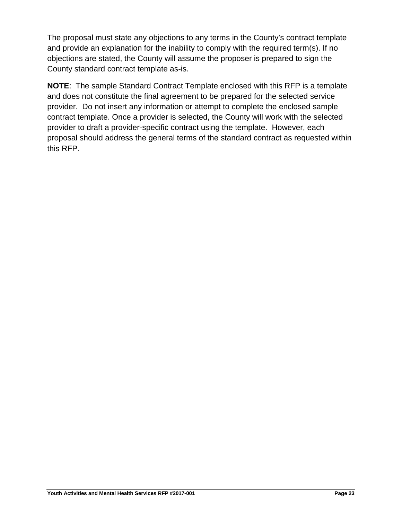The proposal must state any objections to any terms in the County's contract template and provide an explanation for the inability to comply with the required term(s). If no objections are stated, the County will assume the proposer is prepared to sign the County standard contract template as-is.

**NOTE**: The sample Standard Contract Template enclosed with this RFP is a template and does not constitute the final agreement to be prepared for the selected service provider. Do not insert any information or attempt to complete the enclosed sample contract template. Once a provider is selected, the County will work with the selected provider to draft a provider-specific contract using the template. However, each proposal should address the general terms of the standard contract as requested within this RFP.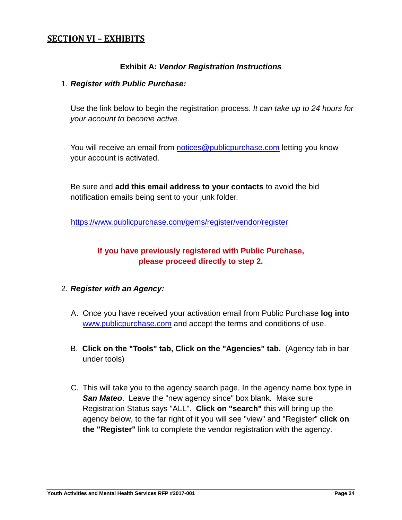## <span id="page-23-0"></span>**SECTION VI – EXHIBITS**

#### **Exhibit A:** *Vendor Registration Instructions*

#### 1. *Register with Public Purchase:*

Use the link below to begin the registration process. *It can take up to 24 hours for your account to become active.*

You will receive an email from [notices@publicpurchase.com](mailto:notices@publicpurchase.com) letting you know your account is activated.

Be sure and **add this email address to your contacts** to avoid the bid notification emails being sent to your junk folder.

<https://www.publicpurchase.com/gems/register/vendor/register>

## **If you have previously registered with Public Purchase, please proceed directly to step 2.**

#### 2. *Register with an Agency:*

- A. Once you have received your activation email from Public Purchase **log into**  [www.publicpurchase.com](http://www.publicpurchase.com/) and accept the terms and conditions of use.
- B. **Click on the "Tools" tab, Click on the "Agencies" tab.** (Agency tab in bar under tools)
- C. This will take you to the agency search page. In the agency name box type in **San Mateo.** Leave the "new agency since" box blank. Make sure Registration Status says "ALL". **Click on "search"** this will bring up the agency below, to the far right of it you will see "view" and "Register" **click on the "Register"** link to complete the vendor registration with the agency.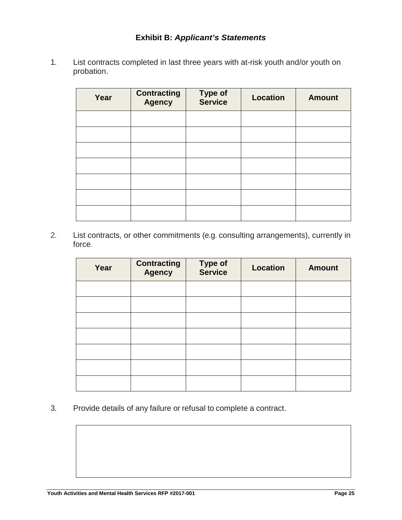1. List contracts completed in last three years with at-risk youth and/or youth on probation.

| Year | <b>Contracting</b><br><b>Agency</b> | <b>Type of</b><br>Service | <b>Location</b> | <b>Amount</b> |
|------|-------------------------------------|---------------------------|-----------------|---------------|
|      |                                     |                           |                 |               |
|      |                                     |                           |                 |               |
|      |                                     |                           |                 |               |
|      |                                     |                           |                 |               |
|      |                                     |                           |                 |               |
|      |                                     |                           |                 |               |
|      |                                     |                           |                 |               |

2. List contracts, or other commitments (e.g. consulting arrangements), currently in force.

| Year | <b>Contracting</b><br><b>Agency</b> | <b>Type of<br/>Service</b> | <b>Location</b> | <b>Amount</b> |
|------|-------------------------------------|----------------------------|-----------------|---------------|
|      |                                     |                            |                 |               |
|      |                                     |                            |                 |               |
|      |                                     |                            |                 |               |
|      |                                     |                            |                 |               |
|      |                                     |                            |                 |               |
|      |                                     |                            |                 |               |
|      |                                     |                            |                 |               |

3. Provide details of any failure or refusal to complete a contract.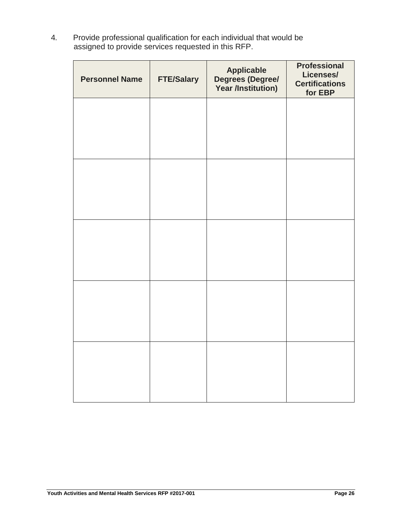4. Provide professional qualification for each individual that would be assigned to provide services requested in this RFP.

| <b>Personnel Name</b> | <b>FTE/Salary</b> | <b>Applicable</b><br>Degrees (Degree/<br>Year /Institution) | <b>Professional</b><br>Licenses/<br><b>Certifications</b><br>for EBP |
|-----------------------|-------------------|-------------------------------------------------------------|----------------------------------------------------------------------|
|                       |                   |                                                             |                                                                      |
|                       |                   |                                                             |                                                                      |
|                       |                   |                                                             |                                                                      |
|                       |                   |                                                             |                                                                      |
|                       |                   |                                                             |                                                                      |
|                       |                   |                                                             |                                                                      |
|                       |                   |                                                             |                                                                      |
|                       |                   |                                                             |                                                                      |
|                       |                   |                                                             |                                                                      |
|                       |                   |                                                             |                                                                      |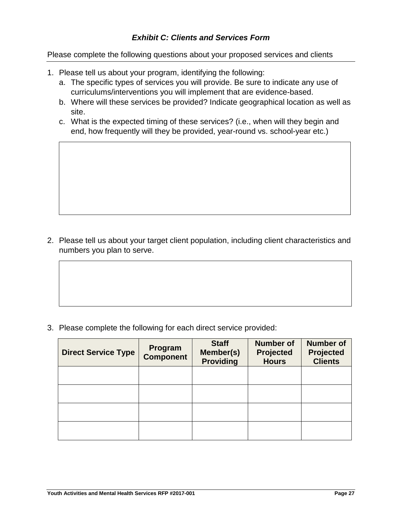#### *Exhibit C: Clients and Services Form*

Please complete the following questions about your proposed services and clients

- 1. Please tell us about your program, identifying the following:
	- a. The specific types of services you will provide. Be sure to indicate any use of curriculums/interventions you will implement that are evidence-based.
	- b. Where will these services be provided? Indicate geographical location as well as site.
	- c. What is the expected timing of these services? (i.e., when will they begin and end, how frequently will they be provided, year-round vs. school-year etc.)

2. Please tell us about your target client population, including client characteristics and numbers you plan to serve.

3. Please complete the following for each direct service provided:

| <b>Direct Service Type</b> | Program<br><b>Component</b> | <b>Staff</b><br>Member(s)<br><b>Providing</b> | <b>Number of</b><br><b>Projected</b><br><b>Hours</b> | <b>Number of</b><br><b>Projected</b><br><b>Clients</b> |
|----------------------------|-----------------------------|-----------------------------------------------|------------------------------------------------------|--------------------------------------------------------|
|                            |                             |                                               |                                                      |                                                        |
|                            |                             |                                               |                                                      |                                                        |
|                            |                             |                                               |                                                      |                                                        |
|                            |                             |                                               |                                                      |                                                        |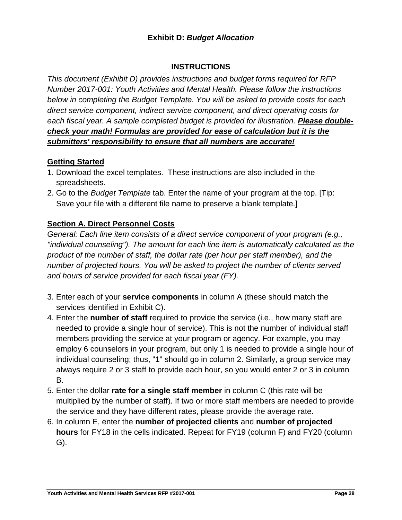### **Exhibit D:** *Budget Allocation*

#### **INSTRUCTIONS**

*This document (Exhibit D) provides instructions and budget forms required for RFP Number 2017-001: Youth Activities and Mental Health. Please follow the instructions below in completing the Budget Template. You will be asked to provide costs for each direct service component, indirect service component, and direct operating costs for each fiscal year. A sample completed budget is provided for illustration. Please doublecheck your math! Formulas are provided for ease of calculation but it is the submitters' responsibility to ensure that all numbers are accurate!*

#### **Getting Started**

- 1. Download the excel templates. These instructions are also included in the spreadsheets.
- 2. Go to the *Budget Template* tab. Enter the name of your program at the top. [Tip: Save your file with a different file name to preserve a blank template.]

#### **Section A. Direct Personnel Costs**

*General: Each line item consists of a direct service component of your program (e.g., "individual counseling"). The amount for each line item is automatically calculated as the product of the number of staff, the dollar rate (per hour per staff member), and the number of projected hours. You will be asked to project the number of clients served and hours of service provided for each fiscal year (FY).*

- 3. Enter each of your **service components** in column A (these should match the services identified in Exhibit C).
- 4. Enter the **number of staff** required to provide the service (i.e., how many staff are needed to provide a single hour of service). This is not the number of individual staff members providing the service at your program or agency. For example, you may employ 6 counselors in your program, but only 1 is needed to provide a single hour of individual counseling; thus, "1" should go in column 2. Similarly, a group service may always require 2 or 3 staff to provide each hour, so you would enter 2 or 3 in column B.
- 5. Enter the dollar **rate for a single staff member** in column C (this rate will be multiplied by the number of staff). If two or more staff members are needed to provide the service and they have different rates, please provide the average rate.
- 6. In column E, enter the **number of projected clients** and **number of projected hours** for FY18 in the cells indicated. Repeat for FY19 (column F) and FY20 (column G).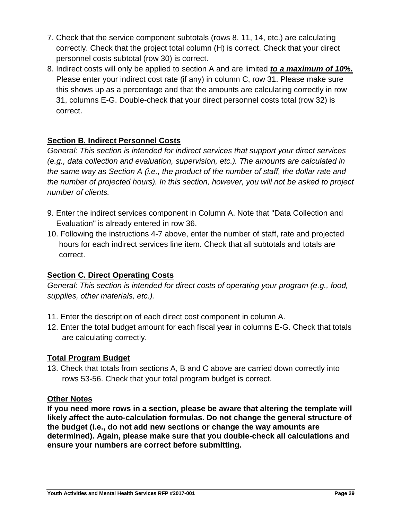- 7. Check that the service component subtotals (rows 8, 11, 14, etc.) are calculating correctly. Check that the project total column (H) is correct. Check that your direct personnel costs subtotal (row 30) is correct.
- 8. Indirect costs will only be applied to section A and are limited *to a maximum of 10%.* Please enter your indirect cost rate (if any) in column C, row 31. Please make sure this shows up as a percentage and that the amounts are calculating correctly in row 31, columns E-G. Double-check that your direct personnel costs total (row 32) is correct.

## **Section B. Indirect Personnel Costs**

*General: This section is intended for indirect services that support your direct services (e.g., data collection and evaluation, supervision, etc.). The amounts are calculated in the same way as Section A (i.e., the product of the number of staff, the dollar rate and the number of projected hours). In this section, however, you will not be asked to project number of clients.*

- 9. Enter the indirect services component in Column A. Note that "Data Collection and Evaluation" is already entered in row 36.
- 10. Following the instructions 4-7 above, enter the number of staff, rate and projected hours for each indirect services line item. Check that all subtotals and totals are correct.

## **Section C. Direct Operating Costs**

*General: This section is intended for direct costs of operating your program (e.g., food, supplies, other materials, etc.).* 

- 11. Enter the description of each direct cost component in column A.
- 12. Enter the total budget amount for each fiscal year in columns E-G. Check that totals are calculating correctly.

## **Total Program Budget**

13. Check that totals from sections A, B and C above are carried down correctly into rows 53-56. Check that your total program budget is correct.

## **Other Notes**

**If you need more rows in a section, please be aware that altering the template will likely affect the auto-calculation formulas. Do not change the general structure of the budget (i.e., do not add new sections or change the way amounts are determined). Again, please make sure that you double-check all calculations and ensure your numbers are correct before submitting.**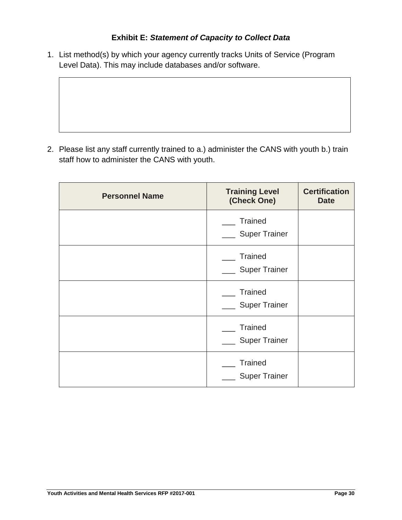## **Exhibit E:** *Statement of Capacity to Collect Data*

1. List method(s) by which your agency currently tracks Units of Service (Program Level Data). This may include databases and/or software.

2. Please list any staff currently trained to a.) administer the CANS with youth b.) train staff how to administer the CANS with youth.

| <b>Personnel Name</b> | <b>Training Level</b><br>(Check One)   | <b>Certification</b><br><b>Date</b> |
|-----------------------|----------------------------------------|-------------------------------------|
|                       | <b>Trained</b><br><b>Super Trainer</b> |                                     |
|                       | <b>Trained</b><br><b>Super Trainer</b> |                                     |
|                       | <b>Trained</b><br><b>Super Trainer</b> |                                     |
|                       | <b>Trained</b><br><b>Super Trainer</b> |                                     |
|                       | <b>Trained</b><br><b>Super Trainer</b> |                                     |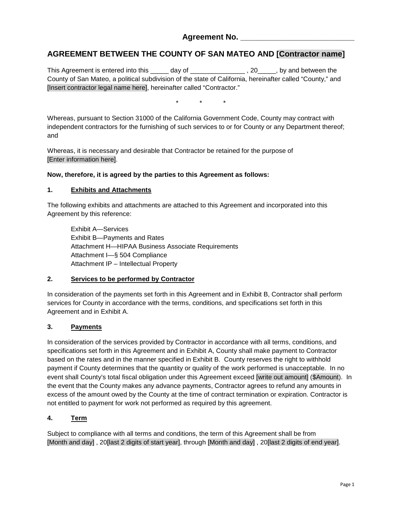#### **Agreement No. \_\_\_\_\_\_\_\_\_\_\_\_\_\_\_\_\_\_\_\_\_\_\_\_\_\_**

#### **AGREEMENT BETWEEN THE COUNTY OF SAN MATEO AND [Contractor name]**

This Agreement is entered into this \_\_\_\_\_ day of \_\_\_\_\_\_\_\_\_\_\_\_\_\_\_\_\_\_\_\_\_, 20\_\_\_\_\_\_, by and between the County of San Mateo, a political subdivision of the state of California, hereinafter called "County," and [Insert contractor legal name here], hereinafter called "Contractor."

\* \* \*

Whereas, pursuant to Section 31000 of the California Government Code, County may contract with independent contractors for the furnishing of such services to or for County or any Department thereof; and

Whereas, it is necessary and desirable that Contractor be retained for the purpose of [Enter information here].

#### **Now, therefore, it is agreed by the parties to this Agreement as follows:**

#### **1. Exhibits and Attachments**

The following exhibits and attachments are attached to this Agreement and incorporated into this Agreement by this reference:

Exhibit A—Services Exhibit B—Payments and Rates Attachment H—HIPAA Business Associate Requirements Attachment I—§ 504 Compliance Attachment IP – Intellectual Property

#### **2. Services to be performed by Contractor**

In consideration of the payments set forth in this Agreement and in Exhibit B, Contractor shall perform services for County in accordance with the terms, conditions, and specifications set forth in this Agreement and in Exhibit A.

#### **3. Payments**

In consideration of the services provided by Contractor in accordance with all terms, conditions, and specifications set forth in this Agreement and in Exhibit A, County shall make payment to Contractor based on the rates and in the manner specified in Exhibit B. County reserves the right to withhold payment if County determines that the quantity or quality of the work performed is unacceptable. In no event shall County's total fiscal obligation under this Agreement exceed [write out amount] (\$Amount). In the event that the County makes any advance payments, Contractor agrees to refund any amounts in excess of the amount owed by the County at the time of contract termination or expiration. Contractor is not entitled to payment for work not performed as required by this agreement.

#### **4. Term**

Subject to compliance with all terms and conditions, the term of this Agreement shall be from [Month and day] , 20[last 2 digits of start year], through [Month and day] , 20[last 2 digits of end year].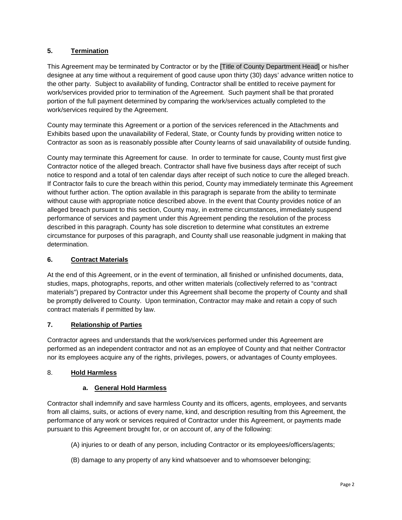#### **5. Termination**

This Agreement may be terminated by Contractor or by the [Title of County Department Head] or his/her designee at any time without a requirement of good cause upon thirty (30) days' advance written notice to the other party. Subject to availability of funding, Contractor shall be entitled to receive payment for work/services provided prior to termination of the Agreement. Such payment shall be that prorated portion of the full payment determined by comparing the work/services actually completed to the work/services required by the Agreement.

County may terminate this Agreement or a portion of the services referenced in the Attachments and Exhibits based upon the unavailability of Federal, State, or County funds by providing written notice to Contractor as soon as is reasonably possible after County learns of said unavailability of outside funding.

County may terminate this Agreement for cause. In order to terminate for cause, County must first give Contractor notice of the alleged breach. Contractor shall have five business days after receipt of such notice to respond and a total of ten calendar days after receipt of such notice to cure the alleged breach. If Contractor fails to cure the breach within this period, County may immediately terminate this Agreement without further action. The option available in this paragraph is separate from the ability to terminate without cause with appropriate notice described above. In the event that County provides notice of an alleged breach pursuant to this section, County may, in extreme circumstances, immediately suspend performance of services and payment under this Agreement pending the resolution of the process described in this paragraph. County has sole discretion to determine what constitutes an extreme circumstance for purposes of this paragraph, and County shall use reasonable judgment in making that determination.

#### **6. Contract Materials**

At the end of this Agreement, or in the event of termination, all finished or unfinished documents, data, studies, maps, photographs, reports, and other written materials (collectively referred to as "contract materials") prepared by Contractor under this Agreement shall become the property of County and shall be promptly delivered to County. Upon termination, Contractor may make and retain a copy of such contract materials if permitted by law.

#### **7. Relationship of Parties**

Contractor agrees and understands that the work/services performed under this Agreement are performed as an independent contractor and not as an employee of County and that neither Contractor nor its employees acquire any of the rights, privileges, powers, or advantages of County employees.

#### 8. **Hold Harmless**

#### **a. General Hold Harmless**

Contractor shall indemnify and save harmless County and its officers, agents, employees, and servants from all claims, suits, or actions of every name, kind, and description resulting from this Agreement, the performance of any work or services required of Contractor under this Agreement, or payments made pursuant to this Agreement brought for, or on account of, any of the following:

- (A) injuries to or death of any person, including Contractor or its employees/officers/agents;
- (B) damage to any property of any kind whatsoever and to whomsoever belonging;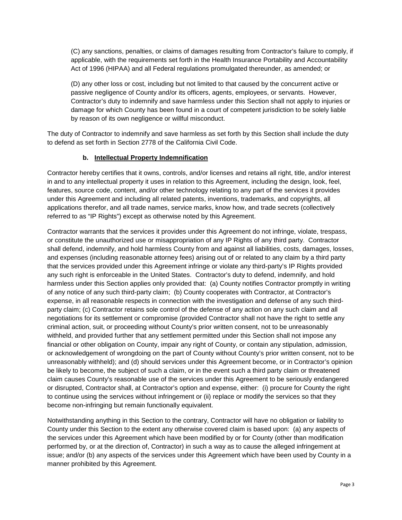(C) any sanctions, penalties, or claims of damages resulting from Contractor's failure to comply, if applicable, with the requirements set forth in the Health Insurance Portability and Accountability Act of 1996 (HIPAA) and all Federal regulations promulgated thereunder, as amended; or

(D) any other loss or cost, including but not limited to that caused by the concurrent active or passive negligence of County and/or its officers, agents, employees, or servants. However, Contractor's duty to indemnify and save harmless under this Section shall not apply to injuries or damage for which County has been found in a court of competent jurisdiction to be solely liable by reason of its own negligence or willful misconduct.

The duty of Contractor to indemnify and save harmless as set forth by this Section shall include the duty to defend as set forth in Section 2778 of the California Civil Code.

#### **b. Intellectual Property Indemnification**

Contractor hereby certifies that it owns, controls, and/or licenses and retains all right, title, and/or interest in and to any intellectual property it uses in relation to this Agreement, including the design, look, feel, features, source code, content, and/or other technology relating to any part of the services it provides under this Agreement and including all related patents, inventions, trademarks, and copyrights, all applications therefor, and all trade names, service marks, know how, and trade secrets (collectively referred to as "IP Rights") except as otherwise noted by this Agreement.

Contractor warrants that the services it provides under this Agreement do not infringe, violate, trespass, or constitute the unauthorized use or misappropriation of any IP Rights of any third party. Contractor shall defend, indemnify, and hold harmless County from and against all liabilities, costs, damages, losses, and expenses (including reasonable attorney fees) arising out of or related to any claim by a third party that the services provided under this Agreement infringe or violate any third-party's IP Rights provided any such right is enforceable in the United States. Contractor's duty to defend, indemnify, and hold harmless under this Section applies only provided that: (a) County notifies Contractor promptly in writing of any notice of any such third-party claim; (b) County cooperates with Contractor, at Contractor's expense, in all reasonable respects in connection with the investigation and defense of any such thirdparty claim; (c) Contractor retains sole control of the defense of any action on any such claim and all negotiations for its settlement or compromise (provided Contractor shall not have the right to settle any criminal action, suit, or proceeding without County's prior written consent, not to be unreasonably withheld, and provided further that any settlement permitted under this Section shall not impose any financial or other obligation on County, impair any right of County, or contain any stipulation, admission, or acknowledgement of wrongdoing on the part of County without County's prior written consent, not to be unreasonably withheld); and (d) should services under this Agreement become, or in Contractor's opinion be likely to become, the subject of such a claim, or in the event such a third party claim or threatened claim causes County's reasonable use of the services under this Agreement to be seriously endangered or disrupted, Contractor shall, at Contractor's option and expense, either: (i) procure for County the right to continue using the services without infringement or (ii) replace or modify the services so that they become non-infringing but remain functionally equivalent.

Notwithstanding anything in this Section to the contrary, Contractor will have no obligation or liability to County under this Section to the extent any otherwise covered claim is based upon: (a) any aspects of the services under this Agreement which have been modified by or for County (other than modification performed by, or at the direction of, Contractor) in such a way as to cause the alleged infringement at issue; and/or (b) any aspects of the services under this Agreement which have been used by County in a manner prohibited by this Agreement.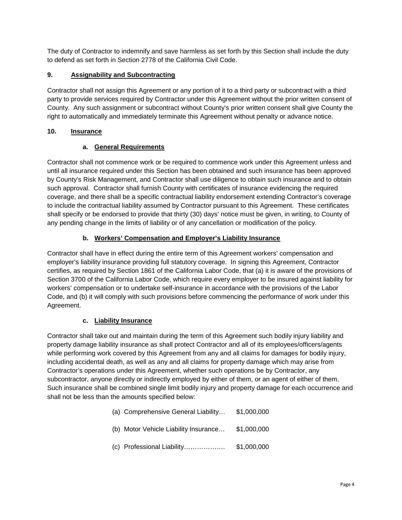The duty of Contractor to indemnify and save harmless as set forth by this Section shall include the duty to defend as set forth in Section 2778 of the California Civil Code.

#### **9. Assignability and Subcontracting**

Contractor shall not assign this Agreement or any portion of it to a third party or subcontract with a third party to provide services required by Contractor under this Agreement without the prior written consent of County. Any such assignment or subcontract without County's prior written consent shall give County the right to automatically and immediately terminate this Agreement without penalty or advance notice.

#### **10. Insurance**

#### **a. General Requirements**

Contractor shall not commence work or be required to commence work under this Agreement unless and until all insurance required under this Section has been obtained and such insurance has been approved by County's Risk Management, and Contractor shall use diligence to obtain such insurance and to obtain such approval. Contractor shall furnish County with certificates of insurance evidencing the required coverage, and there shall be a specific contractual liability endorsement extending Contractor's coverage to include the contractual liability assumed by Contractor pursuant to this Agreement. These certificates shall specify or be endorsed to provide that thirty (30) days' notice must be given, in writing, to County of any pending change in the limits of liability or of any cancellation or modification of the policy.

#### **b. Workers' Compensation and Employer's Liability Insurance**

Contractor shall have in effect during the entire term of this Agreement workers' compensation and employer's liability insurance providing full statutory coverage. In signing this Agreement, Contractor certifies, as required by Section 1861 of the California Labor Code, that (a) it is aware of the provisions of Section 3700 of the California Labor Code, which require every employer to be insured against liability for workers' compensation or to undertake self-insurance in accordance with the provisions of the Labor Code, and (b) it will comply with such provisions before commencing the performance of work under this Agreement.

#### **c. Liability Insurance**

Contractor shall take out and maintain during the term of this Agreement such bodily injury liability and property damage liability insurance as shall protect Contractor and all of its employees/officers/agents while performing work covered by this Agreement from any and all claims for damages for bodily injury, including accidental death, as well as any and all claims for property damage which may arise from Contractor's operations under this Agreement, whether such operations be by Contractor, any subcontractor, anyone directly or indirectly employed by either of them, or an agent of either of them. Such insurance shall be combined single limit bodily injury and property damage for each occurrence and shall not be less than the amounts specified below:

| (a) Comprehensive General Liability   | \$1,000,000 |
|---------------------------------------|-------------|
| (b) Motor Vehicle Liability Insurance | \$1,000,000 |

(c) Professional Liability………………. \$1,000,000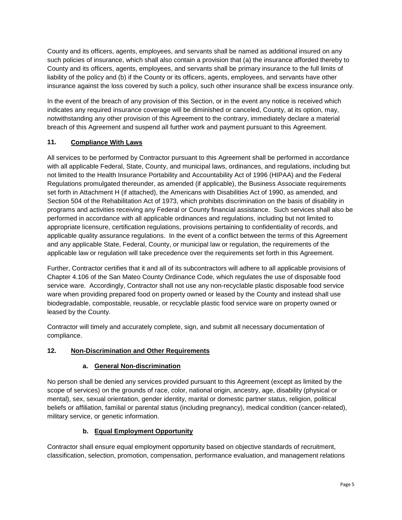County and its officers, agents, employees, and servants shall be named as additional insured on any such policies of insurance, which shall also contain a provision that (a) the insurance afforded thereby to County and its officers, agents, employees, and servants shall be primary insurance to the full limits of liability of the policy and (b) if the County or its officers, agents, employees, and servants have other insurance against the loss covered by such a policy, such other insurance shall be excess insurance only.

In the event of the breach of any provision of this Section, or in the event any notice is received which indicates any required insurance coverage will be diminished or canceled, County, at its option, may, notwithstanding any other provision of this Agreement to the contrary, immediately declare a material breach of this Agreement and suspend all further work and payment pursuant to this Agreement.

#### **11. Compliance With Laws**

All services to be performed by Contractor pursuant to this Agreement shall be performed in accordance with all applicable Federal, State, County, and municipal laws, ordinances, and regulations, including but not limited to the Health Insurance Portability and Accountability Act of 1996 (HIPAA) and the Federal Regulations promulgated thereunder, as amended (if applicable), the Business Associate requirements set forth in Attachment H (if attached), the Americans with Disabilities Act of 1990, as amended, and Section 504 of the Rehabilitation Act of 1973, which prohibits discrimination on the basis of disability in programs and activities receiving any Federal or County financial assistance. Such services shall also be performed in accordance with all applicable ordinances and regulations, including but not limited to appropriate licensure, certification regulations, provisions pertaining to confidentiality of records, and applicable quality assurance regulations. In the event of a conflict between the terms of this Agreement and any applicable State, Federal, County, or municipal law or regulation, the requirements of the applicable law or regulation will take precedence over the requirements set forth in this Agreement.

Further, Contractor certifies that it and all of its subcontractors will adhere to all applicable provisions of Chapter 4.106 of the San Mateo County Ordinance Code, which regulates the use of disposable food service ware. Accordingly, Contractor shall not use any non-recyclable plastic disposable food service ware when providing prepared food on property owned or leased by the County and instead shall use biodegradable, compostable, reusable, or recyclable plastic food service ware on property owned or leased by the County.

Contractor will timely and accurately complete, sign, and submit all necessary documentation of compliance.

#### **12. Non-Discrimination and Other Requirements**

#### **a. General Non-discrimination**

No person shall be denied any services provided pursuant to this Agreement (except as limited by the scope of services) on the grounds of race, color, national origin, ancestry, age, disability (physical or mental), sex, sexual orientation, gender identity, marital or domestic partner status, religion, political beliefs or affiliation, familial or parental status (including pregnancy), medical condition (cancer-related), military service, or genetic information.

#### **b. Equal Employment Opportunity**

Contractor shall ensure equal employment opportunity based on objective standards of recruitment, classification, selection, promotion, compensation, performance evaluation, and management relations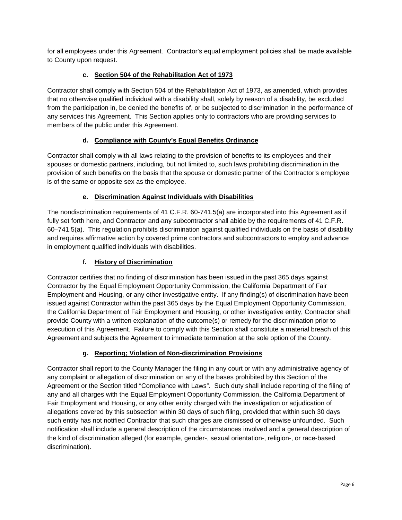for all employees under this Agreement. Contractor's equal employment policies shall be made available to County upon request.

#### **c. Section 504 of the Rehabilitation Act of 1973**

Contractor shall comply with Section 504 of the Rehabilitation Act of 1973, as amended, which provides that no otherwise qualified individual with a disability shall, solely by reason of a disability, be excluded from the participation in, be denied the benefits of, or be subjected to discrimination in the performance of any services this Agreement. This Section applies only to contractors who are providing services to members of the public under this Agreement.

#### **d. Compliance with County's Equal Benefits Ordinance**

Contractor shall comply with all laws relating to the provision of benefits to its employees and their spouses or domestic partners, including, but not limited to, such laws prohibiting discrimination in the provision of such benefits on the basis that the spouse or domestic partner of the Contractor's employee is of the same or opposite sex as the employee.

#### **e. Discrimination Against Individuals with Disabilities**

The nondiscrimination requirements of 41 C.F.R. 60-741.5(a) are incorporated into this Agreement as if fully set forth here, and Contractor and any subcontractor shall abide by the requirements of 41 C.F.R. 60–741.5(a). This regulation prohibits discrimination against qualified individuals on the basis of disability and requires affirmative action by covered prime contractors and subcontractors to employ and advance in employment qualified individuals with disabilities.

#### **f. History of Discrimination**

Contractor certifies that no finding of discrimination has been issued in the past 365 days against Contractor by the Equal Employment Opportunity Commission, the California Department of Fair Employment and Housing, or any other investigative entity. If any finding(s) of discrimination have been issued against Contractor within the past 365 days by the Equal Employment Opportunity Commission, the California Department of Fair Employment and Housing, or other investigative entity, Contractor shall provide County with a written explanation of the outcome(s) or remedy for the discrimination prior to execution of this Agreement. Failure to comply with this Section shall constitute a material breach of this Agreement and subjects the Agreement to immediate termination at the sole option of the County.

#### **g. Reporting; Violation of Non-discrimination Provisions**

Contractor shall report to the County Manager the filing in any court or with any administrative agency of any complaint or allegation of discrimination on any of the bases prohibited by this Section of the Agreement or the Section titled "Compliance with Laws". Such duty shall include reporting of the filing of any and all charges with the Equal Employment Opportunity Commission, the California Department of Fair Employment and Housing, or any other entity charged with the investigation or adjudication of allegations covered by this subsection within 30 days of such filing, provided that within such 30 days such entity has not notified Contractor that such charges are dismissed or otherwise unfounded. Such notification shall include a general description of the circumstances involved and a general description of the kind of discrimination alleged (for example, gender-, sexual orientation-, religion-, or race-based discrimination).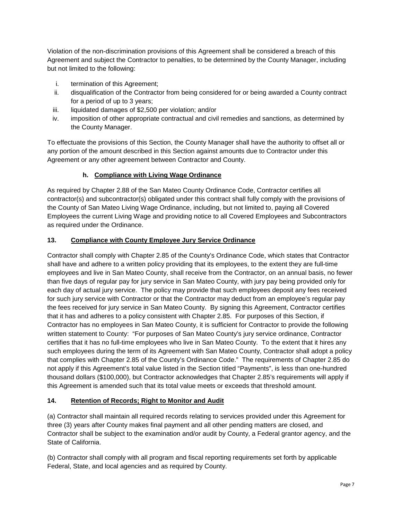Violation of the non-discrimination provisions of this Agreement shall be considered a breach of this Agreement and subject the Contractor to penalties, to be determined by the County Manager, including but not limited to the following:

- i. termination of this Agreement;
- ii. disqualification of the Contractor from being considered for or being awarded a County contract for a period of up to 3 years;
- iii. liquidated damages of \$2,500 per violation; and/or
- iv. imposition of other appropriate contractual and civil remedies and sanctions, as determined by the County Manager.

To effectuate the provisions of this Section, the County Manager shall have the authority to offset all or any portion of the amount described in this Section against amounts due to Contractor under this Agreement or any other agreement between Contractor and County.

#### **h. Compliance with Living Wage Ordinance**

As required by Chapter 2.88 of the San Mateo County Ordinance Code, Contractor certifies all contractor(s) and subcontractor(s) obligated under this contract shall fully comply with the provisions of the County of San Mateo Living Wage Ordinance, including, but not limited to, paying all Covered Employees the current Living Wage and providing notice to all Covered Employees and Subcontractors as required under the Ordinance.

#### **13. Compliance with County Employee Jury Service Ordinance**

Contractor shall comply with Chapter 2.85 of the County's Ordinance Code, which states that Contractor shall have and adhere to a written policy providing that its employees, to the extent they are full-time employees and live in San Mateo County, shall receive from the Contractor, on an annual basis, no fewer than five days of regular pay for jury service in San Mateo County, with jury pay being provided only for each day of actual jury service. The policy may provide that such employees deposit any fees received for such jury service with Contractor or that the Contractor may deduct from an employee's regular pay the fees received for jury service in San Mateo County. By signing this Agreement, Contractor certifies that it has and adheres to a policy consistent with Chapter 2.85. For purposes of this Section, if Contractor has no employees in San Mateo County, it is sufficient for Contractor to provide the following written statement to County: "For purposes of San Mateo County's jury service ordinance, Contractor certifies that it has no full-time employees who live in San Mateo County. To the extent that it hires any such employees during the term of its Agreement with San Mateo County, Contractor shall adopt a policy that complies with Chapter 2.85 of the County's Ordinance Code." The requirements of Chapter 2.85 do not apply if this Agreement's total value listed in the Section titled "Payments", is less than one-hundred thousand dollars (\$100,000), but Contractor acknowledges that Chapter 2.85's requirements will apply if this Agreement is amended such that its total value meets or exceeds that threshold amount.

#### **14. Retention of Records; Right to Monitor and Audit**

(a) Contractor shall maintain all required records relating to services provided under this Agreement for three (3) years after County makes final payment and all other pending matters are closed, and Contractor shall be subject to the examination and/or audit by County, a Federal grantor agency, and the State of California.

(b) Contractor shall comply with all program and fiscal reporting requirements set forth by applicable Federal, State, and local agencies and as required by County.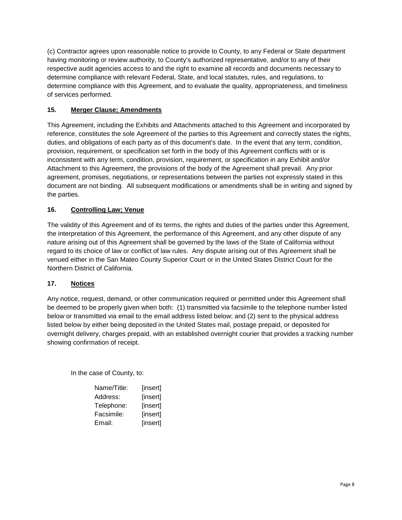(c) Contractor agrees upon reasonable notice to provide to County, to any Federal or State department having monitoring or review authority, to County's authorized representative, and/or to any of their respective audit agencies access to and the right to examine all records and documents necessary to determine compliance with relevant Federal, State, and local statutes, rules, and regulations, to determine compliance with this Agreement, and to evaluate the quality, appropriateness, and timeliness of services performed.

#### **15. Merger Clause; Amendments**

This Agreement, including the Exhibits and Attachments attached to this Agreement and incorporated by reference, constitutes the sole Agreement of the parties to this Agreement and correctly states the rights, duties, and obligations of each party as of this document's date. In the event that any term, condition, provision, requirement, or specification set forth in the body of this Agreement conflicts with or is inconsistent with any term, condition, provision, requirement, or specification in any Exhibit and/or Attachment to this Agreement, the provisions of the body of the Agreement shall prevail. Any prior agreement, promises, negotiations, or representations between the parties not expressly stated in this document are not binding. All subsequent modifications or amendments shall be in writing and signed by the parties.

#### **16. Controlling Law; Venue**

The validity of this Agreement and of its terms, the rights and duties of the parties under this Agreement, the interpretation of this Agreement, the performance of this Agreement, and any other dispute of any nature arising out of this Agreement shall be governed by the laws of the State of California without regard to its choice of law or conflict of law rules. Any dispute arising out of this Agreement shall be venued either in the San Mateo County Superior Court or in the United States District Court for the Northern District of California.

#### **17. Notices**

Any notice, request, demand, or other communication required or permitted under this Agreement shall be deemed to be properly given when both: (1) transmitted via facsimile to the telephone number listed below or transmitted via email to the email address listed below; and (2) sent to the physical address listed below by either being deposited in the United States mail, postage prepaid, or deposited for overnight delivery, charges prepaid, with an established overnight courier that provides a tracking number showing confirmation of receipt.

In the case of County, to:

| Name/Title: | [insert] |
|-------------|----------|
| Address:    | [insert] |
| Telephone:  | [insert] |
| Facsimile:  | [insert] |
| Email:      | [insert] |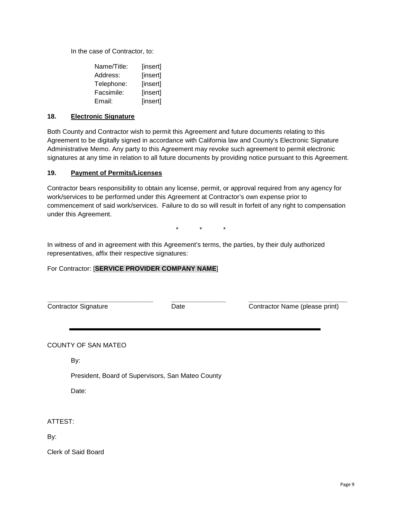In the case of Contractor, to:

| Name/Title: | [insert] |
|-------------|----------|
| Address:    | [insert] |
| Telephone:  | [insert] |
| Facsimile:  | [insert] |
| Email:      | [insert] |

#### **18. Electronic Signature**

Both County and Contractor wish to permit this Agreement and future documents relating to this Agreement to be digitally signed in accordance with California law and County's Electronic Signature Administrative Memo. Any party to this Agreement may revoke such agreement to permit electronic signatures at any time in relation to all future documents by providing notice pursuant to this Agreement.

#### **19. Payment of Permits/Licenses**

Contractor bears responsibility to obtain any license, permit, or approval required from any agency for work/services to be performed under this Agreement at Contractor's own expense prior to commencement of said work/services. Failure to do so will result in forfeit of any right to compensation under this Agreement.

\* \* \*

In witness of and in agreement with this Agreement's terms, the parties, by their duly authorized representatives, affix their respective signatures:

#### For Contractor: [**SERVICE PROVIDER COMPANY NAME**]

**\_\_\_\_\_\_\_\_\_\_\_\_\_\_\_\_\_\_\_\_\_\_\_\_\_\_\_\_\_** Contractor Signature

**\_\_\_\_\_\_\_\_\_\_\_\_\_\_\_** Date

**\_\_\_\_\_\_\_\_\_\_\_\_\_\_\_\_\_\_\_\_\_\_\_\_\_\_\_** Contractor Name (please print)

COUNTY OF SAN MATEO

By:

President, Board of Supervisors, San Mateo County

Date:

ATTEST:

By:

Clerk of Said Board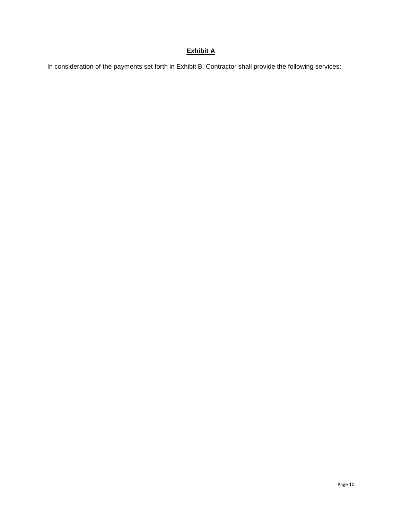## **Exhibit A**

In consideration of the payments set forth in Exhibit B, Contractor shall provide the following services: